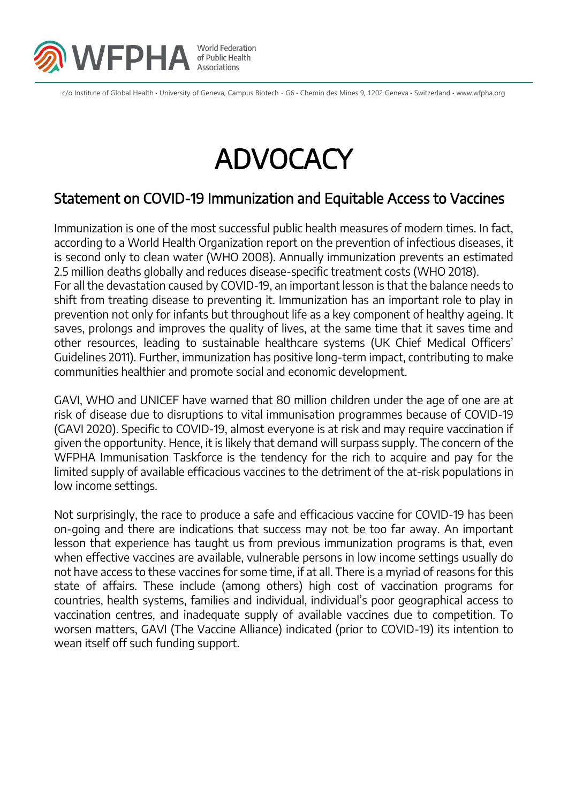

c/o Institute of Global Health • University of Geneva, Campus Biotech - G6 • Chemin des Mines 9, 1202 Geneva • Switzerland • www.wfpha.org

## **ADVOCACY**

## Statement on COVID-19 Immunization and Equitable Access to Vaccines

Immunization is one of the most successful public health measures of modern times. In fact, according to a World Health Organization report on the prevention of infectious diseases, it is second only to clean water (WHO 2008). Annually immunization prevents an estimated 2.5 million deaths globally and reduces disease-specific treatment costs (WHO 2018). For all the devastation caused by COVID-19, an important lesson is that the balance needs to shift from treating disease to preventing it. Immunization has an important role to play in prevention not only for infants but throughout life as a key component of healthy ageing. It saves, prolongs and improves the quality of lives, at the same time that it saves time and other resources, leading to sustainable healthcare systems (UK Chief Medical Officers' Guidelines 2011). Further, immunization has positive long-term impact, contributing to make communities healthier and promote social and economic development.

GAVI, WHO and UNICEF have warned that 80 million children under the age of one are at risk of disease due to disruptions to vital immunisation programmes because of COVID-19 (GAVI 2020). Specific to COVID-19, almost everyone is at risk and may require vaccination if given the opportunity. Hence, it is likely that demand will surpass supply. The concern of the WFPHA Immunisation Taskforce is the tendency for the rich to acquire and pay for the limited supply of available efficacious vaccines to the detriment of the at-risk populations in low income settings.

Not surprisingly, the race to produce a safe and efficacious vaccine for COVID-19 has been on-going and there are indications that success may not be too far away. An important lesson that experience has taught us from previous immunization programs is that, even when effective vaccines are available, vulnerable persons in low income settings usually do not have access to these vaccines for some time, if at all. There is a myriad of reasons for this state of affairs. These include (among others) high cost of vaccination programs for countries, health systems, families and individual, individual's poor geographical access to vaccination centres, and inadequate supply of available vaccines due to competition. To worsen matters, GAVI (The Vaccine Alliance) indicated (prior to COVID-19) its intention to wean itself off such funding support.